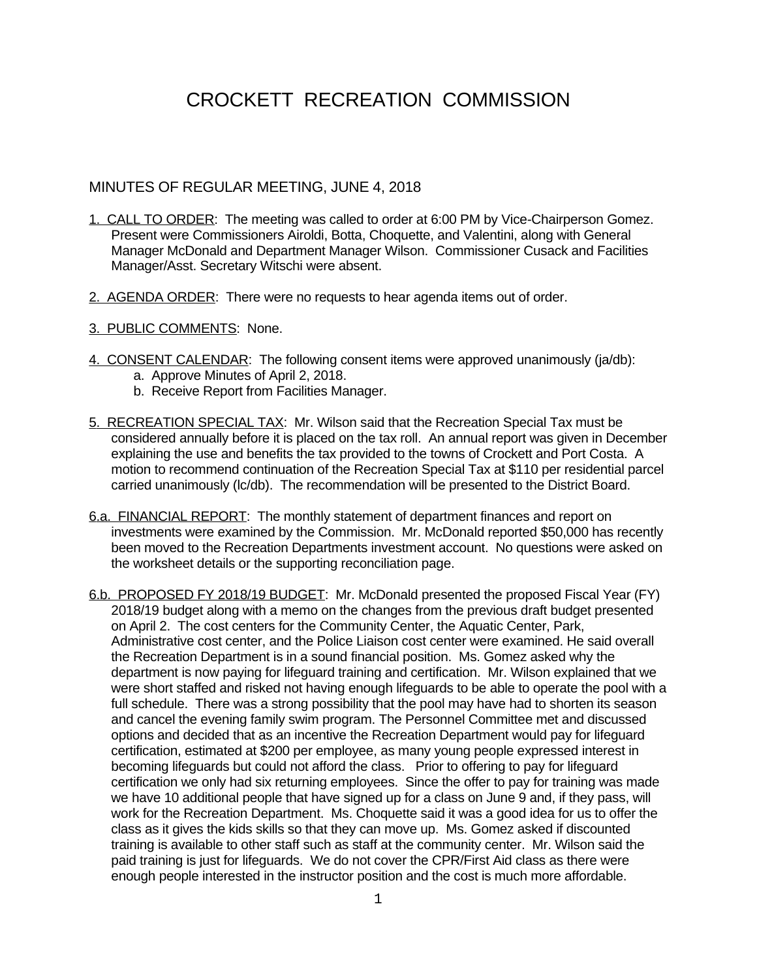## CROCKETT RECREATION COMMISSION

## MINUTES OF REGULAR MEETING, JUNE 4, 2018

- 1. CALL TO ORDER: The meeting was called to order at 6:00 PM by Vice-Chairperson Gomez. Present were Commissioners Airoldi, Botta, Choquette, and Valentini, along with General Manager McDonald and Department Manager Wilson. Commissioner Cusack and Facilities Manager/Asst. Secretary Witschi were absent.
- 2. AGENDA ORDER: There were no requests to hear agenda items out of order.
- 3. PUBLIC COMMENTS: None.
- 4. CONSENT CALENDAR: The following consent items were approved unanimously (ja/db):
	- a. Approve Minutes of April 2, 2018.
	- b. Receive Report from Facilities Manager.
- 5. RECREATION SPECIAL TAX: Mr. Wilson said that the Recreation Special Tax must be considered annually before it is placed on the tax roll. An annual report was given in December explaining the use and benefits the tax provided to the towns of Crockett and Port Costa. A motion to recommend continuation of the Recreation Special Tax at \$110 per residential parcel carried unanimously (lc/db). The recommendation will be presented to the District Board.
- 6.a. FINANCIAL REPORT: The monthly statement of department finances and report on investments were examined by the Commission. Mr. McDonald reported \$50,000 has recently been moved to the Recreation Departments investment account. No questions were asked on the worksheet details or the supporting reconciliation page.
- 6.b. PROPOSED FY 2018/19 BUDGET: Mr. McDonald presented the proposed Fiscal Year (FY) 2018/19 budget along with a memo on the changes from the previous draft budget presented on April 2. The cost centers for the Community Center, the Aquatic Center, Park, Administrative cost center, and the Police Liaison cost center were examined. He said overall the Recreation Department is in a sound financial position. Ms. Gomez asked why the department is now paying for lifeguard training and certification. Mr. Wilson explained that we were short staffed and risked not having enough lifeguards to be able to operate the pool with a full schedule. There was a strong possibility that the pool may have had to shorten its season and cancel the evening family swim program. The Personnel Committee met and discussed options and decided that as an incentive the Recreation Department would pay for lifeguard certification, estimated at \$200 per employee, as many young people expressed interest in becoming lifeguards but could not afford the class. Prior to offering to pay for lifeguard certification we only had six returning employees. Since the offer to pay for training was made we have 10 additional people that have signed up for a class on June 9 and, if they pass, will work for the Recreation Department. Ms. Choquette said it was a good idea for us to offer the class as it gives the kids skills so that they can move up. Ms. Gomez asked if discounted training is available to other staff such as staff at the community center. Mr. Wilson said the paid training is just for lifeguards. We do not cover the CPR/First Aid class as there were enough people interested in the instructor position and the cost is much more affordable.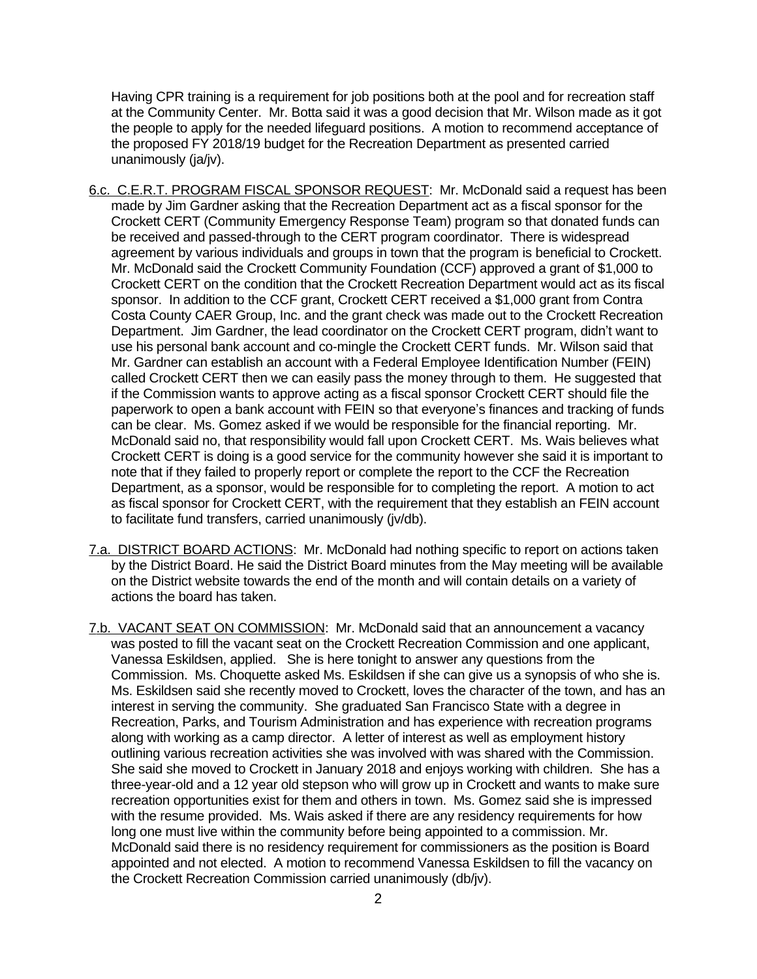Having CPR training is a requirement for job positions both at the pool and for recreation staff at the Community Center. Mr. Botta said it was a good decision that Mr. Wilson made as it got the people to apply for the needed lifeguard positions. A motion to recommend acceptance of the proposed FY 2018/19 budget for the Recreation Department as presented carried unanimously (ja/jv).

- 6.c. C.E.R.T. PROGRAM FISCAL SPONSOR REQUEST: Mr. McDonald said a request has been made by Jim Gardner asking that the Recreation Department act as a fiscal sponsor for the Crockett CERT (Community Emergency Response Team) program so that donated funds can be received and passed-through to the CERT program coordinator. There is widespread agreement by various individuals and groups in town that the program is beneficial to Crockett. Mr. McDonald said the Crockett Community Foundation (CCF) approved a grant of \$1,000 to Crockett CERT on the condition that the Crockett Recreation Department would act as its fiscal sponsor. In addition to the CCF grant, Crockett CERT received a \$1,000 grant from Contra Costa County CAER Group, Inc. and the grant check was made out to the Crockett Recreation Department. Jim Gardner, the lead coordinator on the Crockett CERT program, didn't want to use his personal bank account and co-mingle the Crockett CERT funds. Mr. Wilson said that Mr. Gardner can establish an account with a Federal Employee Identification Number (FEIN) called Crockett CERT then we can easily pass the money through to them. He suggested that if the Commission wants to approve acting as a fiscal sponsor Crockett CERT should file the paperwork to open a bank account with FEIN so that everyone's finances and tracking of funds can be clear. Ms. Gomez asked if we would be responsible for the financial reporting. Mr. McDonald said no, that responsibility would fall upon Crockett CERT. Ms. Wais believes what Crockett CERT is doing is a good service for the community however she said it is important to note that if they failed to properly report or complete the report to the CCF the Recreation Department, as a sponsor, would be responsible for to completing the report. A motion to act as fiscal sponsor for Crockett CERT, with the requirement that they establish an FEIN account to facilitate fund transfers, carried unanimously (jv/db).
- 7.a. DISTRICT BOARD ACTIONS: Mr. McDonald had nothing specific to report on actions taken by the District Board. He said the District Board minutes from the May meeting will be available on the District website towards the end of the month and will contain details on a variety of actions the board has taken.
- 7.b. VACANT SEAT ON COMMISSION: Mr. McDonald said that an announcement a vacancy was posted to fill the vacant seat on the Crockett Recreation Commission and one applicant, Vanessa Eskildsen, applied. She is here tonight to answer any questions from the Commission. Ms. Choquette asked Ms. Eskildsen if she can give us a synopsis of who she is. Ms. Eskildsen said she recently moved to Crockett, loves the character of the town, and has an interest in serving the community. She graduated San Francisco State with a degree in Recreation, Parks, and Tourism Administration and has experience with recreation programs along with working as a camp director. A letter of interest as well as employment history outlining various recreation activities she was involved with was shared with the Commission. She said she moved to Crockett in January 2018 and enjoys working with children. She has a three-year-old and a 12 year old stepson who will grow up in Crockett and wants to make sure recreation opportunities exist for them and others in town. Ms. Gomez said she is impressed with the resume provided. Ms. Wais asked if there are any residency requirements for how long one must live within the community before being appointed to a commission. Mr. McDonald said there is no residency requirement for commissioners as the position is Board appointed and not elected. A motion to recommend Vanessa Eskildsen to fill the vacancy on the Crockett Recreation Commission carried unanimously (db/jv).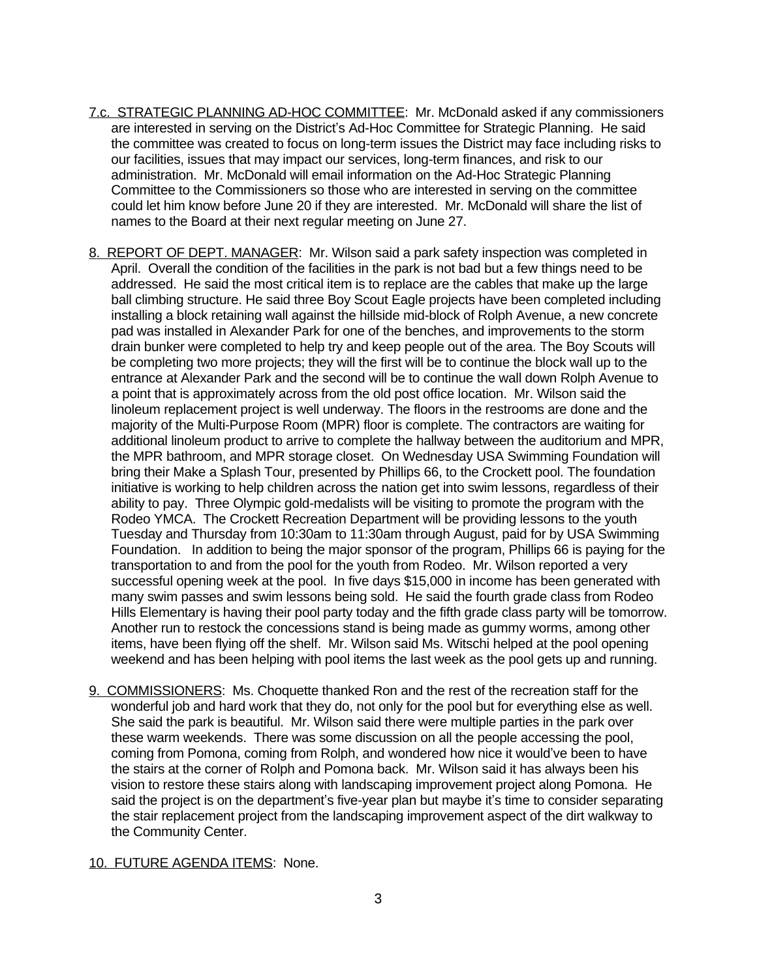- 7.c. STRATEGIC PLANNING AD-HOC COMMITTEE: Mr. McDonald asked if any commissioners are interested in serving on the District's Ad-Hoc Committee for Strategic Planning. He said the committee was created to focus on long-term issues the District may face including risks to our facilities, issues that may impact our services, long-term finances, and risk to our administration. Mr. McDonald will email information on the Ad-Hoc Strategic Planning Committee to the Commissioners so those who are interested in serving on the committee could let him know before June 20 if they are interested. Mr. McDonald will share the list of names to the Board at their next regular meeting on June 27.
- 8. REPORT OF DEPT. MANAGER: Mr. Wilson said a park safety inspection was completed in April. Overall the condition of the facilities in the park is not bad but a few things need to be addressed. He said the most critical item is to replace are the cables that make up the large ball climbing structure. He said three Boy Scout Eagle projects have been completed including installing a block retaining wall against the hillside mid-block of Rolph Avenue, a new concrete pad was installed in Alexander Park for one of the benches, and improvements to the storm drain bunker were completed to help try and keep people out of the area. The Boy Scouts will be completing two more projects; they will the first will be to continue the block wall up to the entrance at Alexander Park and the second will be to continue the wall down Rolph Avenue to a point that is approximately across from the old post office location. Mr. Wilson said the linoleum replacement project is well underway. The floors in the restrooms are done and the majority of the Multi-Purpose Room (MPR) floor is complete. The contractors are waiting for additional linoleum product to arrive to complete the hallway between the auditorium and MPR, the MPR bathroom, and MPR storage closet. On Wednesday USA Swimming Foundation will bring their Make a Splash Tour, presented by Phillips 66, to the Crockett pool. The foundation initiative is working to help children across the nation get into swim lessons, regardless of their ability to pay. Three Olympic gold-medalists will be visiting to promote the program with the Rodeo YMCA. The Crockett Recreation Department will be providing lessons to the youth Tuesday and Thursday from 10:30am to 11:30am through August, paid for by USA Swimming Foundation. In addition to being the major sponsor of the program, Phillips 66 is paying for the transportation to and from the pool for the youth from Rodeo. Mr. Wilson reported a very successful opening week at the pool. In five days \$15,000 in income has been generated with many swim passes and swim lessons being sold. He said the fourth grade class from Rodeo Hills Elementary is having their pool party today and the fifth grade class party will be tomorrow. Another run to restock the concessions stand is being made as gummy worms, among other items, have been flying off the shelf. Mr. Wilson said Ms. Witschi helped at the pool opening weekend and has been helping with pool items the last week as the pool gets up and running.
- 9. COMMISSIONERS: Ms. Choquette thanked Ron and the rest of the recreation staff for the wonderful job and hard work that they do, not only for the pool but for everything else as well. She said the park is beautiful. Mr. Wilson said there were multiple parties in the park over these warm weekends. There was some discussion on all the people accessing the pool, coming from Pomona, coming from Rolph, and wondered how nice it would've been to have the stairs at the corner of Rolph and Pomona back. Mr. Wilson said it has always been his vision to restore these stairs along with landscaping improvement project along Pomona. He said the project is on the department's five-year plan but maybe it's time to consider separating the stair replacement project from the landscaping improvement aspect of the dirt walkway to the Community Center.

## 10. FUTURE AGENDA ITEMS: None.